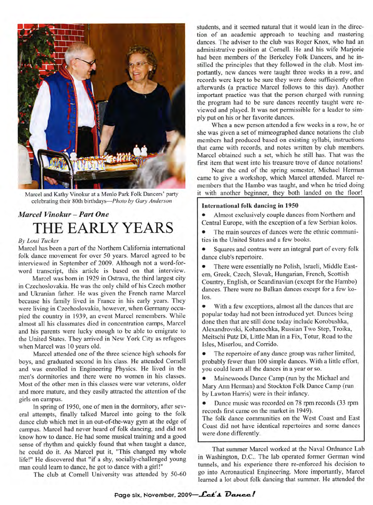

Marcel and Kathy Vinokur at a Menlo Park Folk Dancers' party celebrating their 80th birthdays—*Photo by Gary Anderson*

## *Marcel Vinokur - Part One* THE EARLY YEARS

## *By Loui Tucker*

Marcel has been a part of the Northern California international folk dance movement for over 50 years. Marcel agreed to be interviewed in September of 2009. Although not a word-forword transcript, this article is based on that interview.

Marcel was born in 1929 in Ostrava, the third largest city in Czechoslovakia. He was the only child of his Czech mother and Ukranian father. He was given the French name Marcel because his family lived in France in his early years. They were living in Czechoslovakia, however, when Germany occupied the country in 1939, an event Marcel remembers. While almost all his classmates died in concentration camps, Marcel and his parents were lucky enough to be able to emigrate to the United States. They arrived in New York City as refugees when Marcel was 10 years old.

Marcel attended one of the three science high schools for boys, and graduated second in his class. He attended Cornell and was enrolled in Engineering Physics. He lived in the men's dormitories and there were no women in his classes. Most of the other men in this classes were war veterans, older and more mature, and they easily attracted the attention of the girls on campus.

In spring of 1950, one of men in the dormitory, after several attempts, finally talked Marcel into going to the folk dance club which met in an out-of-the-way gym at the edge of campus. Marcel had never heard of folk dancing, and did not know how to dance. He had some musical training and a good sense of rhythm and quickly found that when taught a dance, he could do it. As Marcel put it, "This changed my whole life!" He discovered that "if a shy, socially-challenged young man could learn to dance, he got to dance with a girl!"

The club at Cornell University was attended by 50-60

students, and it seemed natural that it would lean in the direction of an academic approach to teaching and mastering dances. The adviser to the club was Roger Knox, who had an administrative position at Cornell. He and his wife Marjorie had been members of the Berkeley Folk Dancers, and he instilled the principles that they followed in the club. Most importantly, new dances were taught three weeks in a row, and records were kept to be sure they were done sufficiently often afterwards (a practice Marcel follows to this day). Another important practice was that the person charged with running the program had to be sure dances recently taught were reviewed and played. It was not permissible for a leader to simply put on his or her favorite dances.

When a new person attended a few weeks in a row, he or she was given a set of mimeographed dance notations the club members had produced based on existing syllabi, instructions that came with records, and notes written by club members. Marcel obtained such a set, which he still has. That was the first item that went into his treasure trove of dance notations!

Near the end of the spring semester, Michael Herman came to give a workshop, which Marcel attended. Marcel remembers that the Hambo was taught, and when he tried doing it with another beginner, they both landed on the floor!

## **International folk dancing in 1950**

• Almost exclusively couple dances from Northern and Central Europe, with the exception of a few Serbian kolos.

The main sources of dances were the ethnic communities in the United States and a few books.

Squares and contras were an integral part of every folk dance club's repertoire.

• There were essentially no Polish, Israeli, Middle Eastern, Greek, Czech, Slovak, Hungarian, French, Scottish Country, English, or Scandinavian (except for the Hambo) dances. There were no Balkan dances except for a few kolos.

• With a few exceptions, almost all the dances that are popular today had not been introduced yet. Dances being done then that are still done today include Korobushka, Alexandrovski, Kohanochka, Russian Two Step, Troika, Meitschi Putz Di, Little Man in a Fix, Totur, Road to the Isles, Miserlou, and Corrido.

The repertoire of any dance group was rather limited, probably fewer than 100 simple dances. With a little effort, you could learn all the dances in a year or so.

• Mainewoods Dance Camp (run by the Michael and Mary Ann Herman) and Stockton Folk Dance Camp (run by Lawton Harris) were in their infancy.

• Dance music was recorded on 78 rpm records (33 rpm records first came on the market in 1949).

The folk dance communities on the West Coast and East Coast did not have identical repertoires and some dances were done differently.

That summer Marcel worked at the Naval Ordnance Lab in Washington, D.C.. The lab operated former German wind tunnels, and his experience there re-enforced his decision to go into Aeronautical Engineering. More importantly, Marcel learned a lot about folk dancing that summer. He attended the